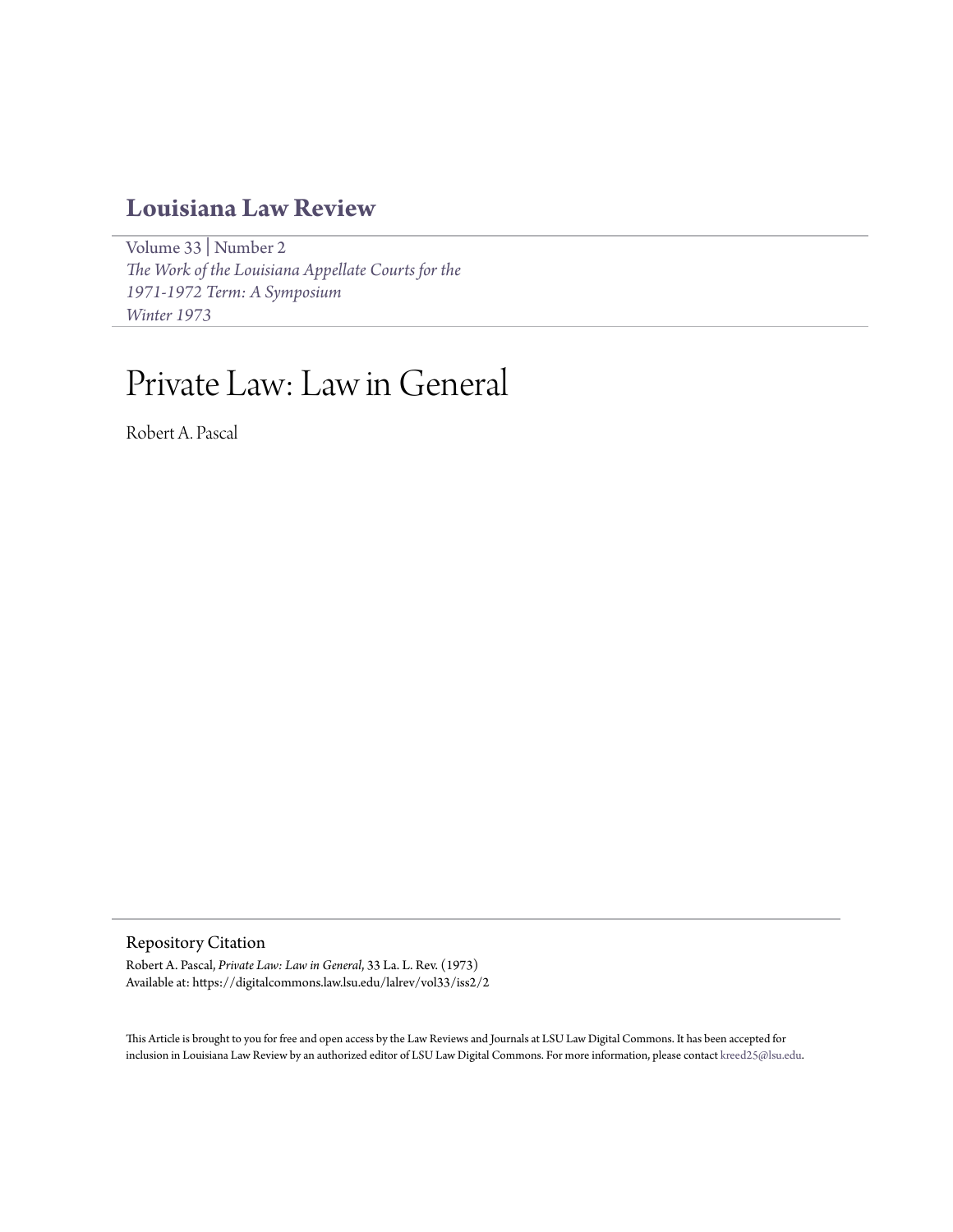## **[Louisiana Law Review](https://digitalcommons.law.lsu.edu/lalrev)**

[Volume 33](https://digitalcommons.law.lsu.edu/lalrev/vol33) | [Number 2](https://digitalcommons.law.lsu.edu/lalrev/vol33/iss2) *[The Work of the Louisiana Appellate Courts for the](https://digitalcommons.law.lsu.edu/lalrev/vol33/iss2) [1971-1972 Term: A Symposium](https://digitalcommons.law.lsu.edu/lalrev/vol33/iss2) [Winter 1973](https://digitalcommons.law.lsu.edu/lalrev/vol33/iss2)*

# Private Law: Law in General

Robert A. Pascal

Repository Citation

Robert A. Pascal, *Private Law: Law in General*, 33 La. L. Rev. (1973) Available at: https://digitalcommons.law.lsu.edu/lalrev/vol33/iss2/2

This Article is brought to you for free and open access by the Law Reviews and Journals at LSU Law Digital Commons. It has been accepted for inclusion in Louisiana Law Review by an authorized editor of LSU Law Digital Commons. For more information, please contact [kreed25@lsu.edu](mailto:kreed25@lsu.edu).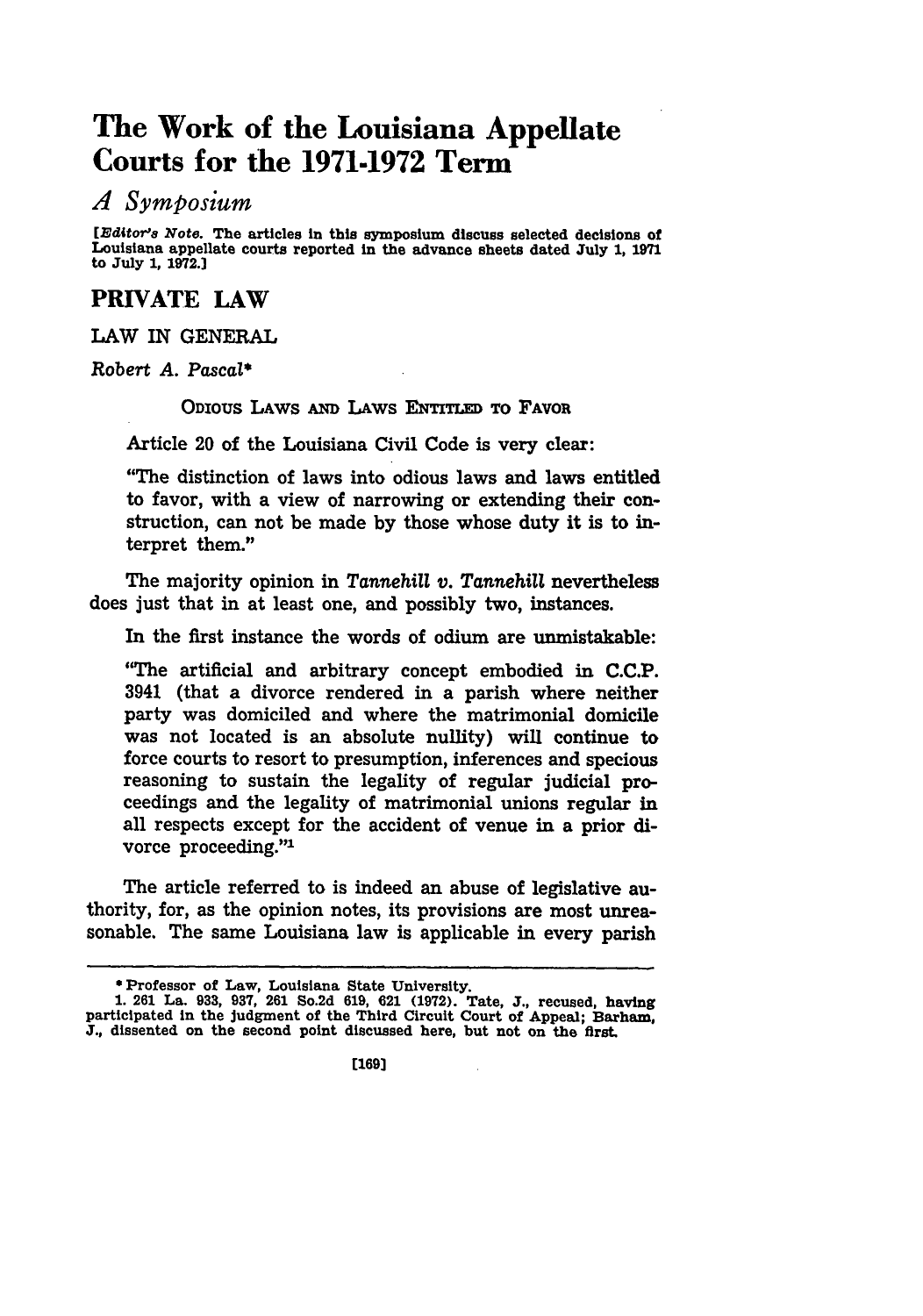## **The Work of the Louisiana Appellate Courts for the 1971-1972 Term**

#### *A Symposium*

[Editor's Note. The articles in this symposium discuss selected decisions of Louisiana appellate courts reported in the advance sheets dated July **1, 1971** to July **1, 1972.]**

### **PRIVATE LAW**

LAW IN **GENERAL**

Robert *A.* Pascal\*

ODIOUS LAws **Aim** LAws **ENTITLED** TO FAVOR

Article 20 of the Louisiana Civil Code is very clear:

"The distinction of laws into odious laws and laws entitled to favor, with a view of narrowing or extending their construction, can not be made **by** those whose duty it is to interpret them."

The majority opinion in *Tarnehill v. Tannehill* nevertheless does just that in at least one, and possibly two, instances.

In the first instance the words of odium are unmistakable:

"The artificial and arbitrary concept embodied in **C.C.P.** 3941 (that a divorce rendered in a parish where neither party was domiciled and where the matrimonial domicile was not located is an absolute nullity) will continue to force courts to resort to presumption, inferences and specious reasoning to sustain the legality of regular judicial proceedings and the legality of matrimonial unions regular in all respects except for the accident of venue in a prior divorce proceeding."'

The article referred to is indeed an abuse of legislative authority, for, as the opinion notes, its provisions are most unreasonable. The same Louisiana law is applicable in every parish

<sup>\*</sup>Professor of Law, Louisiana State University.

**<sup>1. 261</sup>** La. **933, 937, 261** So.2d **619, 621 (1972).** Tate, **J.,** recused, having participated in the Judgment of the Third Circuit Court of Appeal; Barham, **J.,** dissented on the second point discussed here, but not on the first.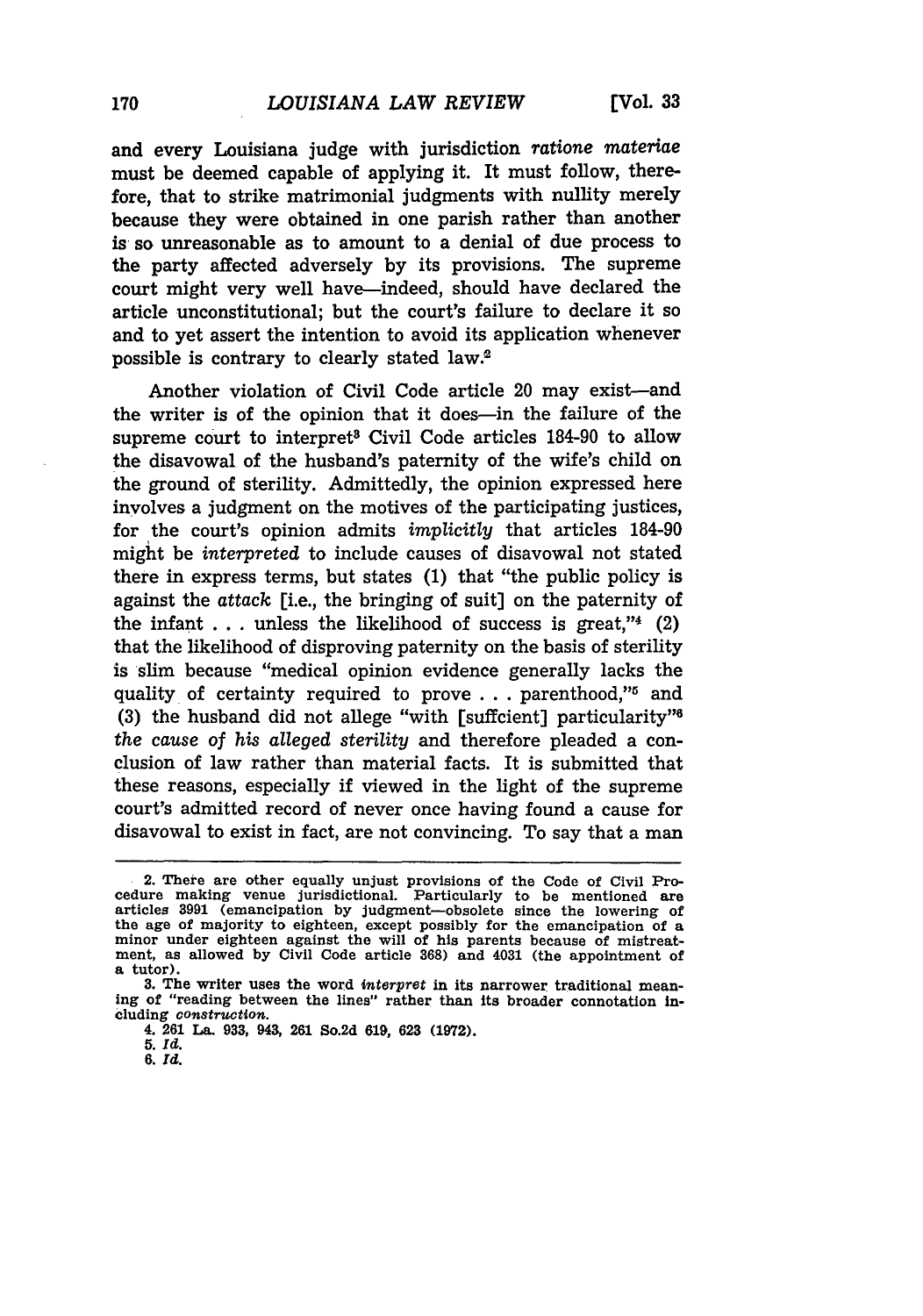and every Louisiana judge with jurisdiction *ratione* materiae must be deemed capable of applying it. It must follow, therefore, that to strike matrimonial judgments with nullity merely because they were obtained in one parish rather than another is so unreasonable as to amount to a denial of due process to the party affected adversely by its provisions. The supreme court might very well have-indeed, should have declared the article unconstitutional; but the court's failure to declare it so and to yet assert the intention to avoid its application whenever possible is contrary to clearly stated law.2

Another violation of Civil Code article 20 may exist-and the writer is of the opinion that it does-in the failure of the supreme court to interpret<sup>8</sup> Civil Code articles 184-90 to allow the disavowal of the husband's paternity of the wife's child on the ground of sterility. Admittedly, the opinion expressed here involves a judgment on the motives of the participating justices, for the court's opinion admits *implicitly* that articles 184-90 might be *interpreted* to include causes of disavowal not stated there in express terms, but states (1) that "the public policy is against the *attack* [i.e., the bringing of suit] on the paternity of the infant  $\dots$  unless the likelihood of success is great,"4 (2) that the likelihood of disproving paternity on the basis of sterility is slim because "medical opinion evidence generally lacks the quality of certainty required to prove . . . parenthood,"<sup>5</sup> and **(3)** the husband did not allege "with [suffcient] particularity" *the cause of his alleged sterility* and therefore pleaded a conclusion of law rather than material facts. It is submitted that these reasons, especially if viewed in the light of the supreme court's admitted record of never once having found a cause for disavowal to exist in fact, are not convincing. To say that a man

- **5.** *Id.*
- **6.** *Id.*

<sup>2.</sup> There are other equally unjust provisions of the Code of Civil Pro-cedure making venue jurisdictional. Particularly to be mentioned are articles **3991** (emancipation **by** judgment-obsolete since the lowering of the age of majority to eighteen, except possibly for the emancipation of a minor under eighteen against the will of his parents because of mistreatment, as allowed **by** Civil Code article **368)** and 4031 (the appointment of a tutor).

**<sup>3.</sup>** The writer uses the word *interpret* in its narrower traditional meaning of "reading between the lines" rather than its broader connotation Including *construction.*

<sup>4.</sup> **261 La. 933,** 943, 261 So.2d **619, 623 (1972).**